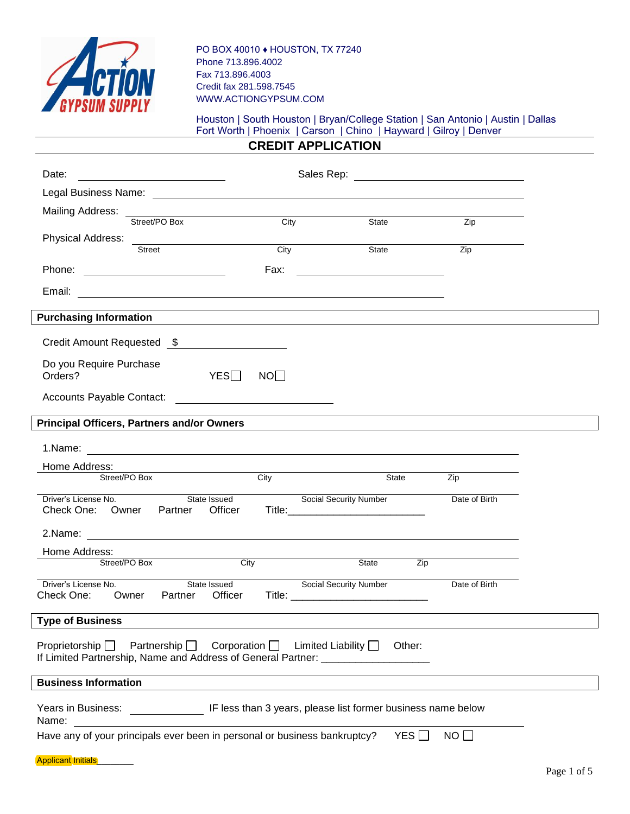

PO BOX 40010 ♦ HOUSTON, TX 77240 Phone 713.896.4002 Fax 713.896.4003 Credit fax 281.598.7545 WWW.ACTIONGYPSUM.COM

## Houston | South Houston | Bryan/College Station | San Antonio | Austin | Dallas Fort Worth | Phoenix | Carson | Chino | Hayward | Gilroy | Denver

**CREDIT APPLICATION** 

| Date:<br>Sales Rep: <u>__________________________</u><br><u> 1980 - Jan Barbara Barbara, prima popular popular popular popular popular popular popular popular popular po</u> |                                                                                                                      |                         |                                                                                                                       |               |  |
|-------------------------------------------------------------------------------------------------------------------------------------------------------------------------------|----------------------------------------------------------------------------------------------------------------------|-------------------------|-----------------------------------------------------------------------------------------------------------------------|---------------|--|
|                                                                                                                                                                               |                                                                                                                      |                         |                                                                                                                       |               |  |
| Mailing Address:                                                                                                                                                              |                                                                                                                      |                         |                                                                                                                       |               |  |
| Street/PO Box                                                                                                                                                                 |                                                                                                                      | City                    | State                                                                                                                 | Zip           |  |
| Street                                                                                                                                                                        |                                                                                                                      | $\frac{1}{\text{City}}$ | State                                                                                                                 | Zip           |  |
| Phone:                                                                                                                                                                        |                                                                                                                      | Fax:                    |                                                                                                                       |               |  |
|                                                                                                                                                                               |                                                                                                                      |                         |                                                                                                                       |               |  |
| Email:                                                                                                                                                                        |                                                                                                                      |                         | <u> 1989 - Johann Stoff, deutscher Stoff, der Stoff, der Stoff, der Stoff, der Stoff, der Stoff, der Stoff, der S</u> |               |  |
| <b>Purchasing Information</b>                                                                                                                                                 |                                                                                                                      |                         | <u> 1980 - Johann Stoff, fransk politik (f. 1980)</u>                                                                 |               |  |
| Credit Amount Requested \$                                                                                                                                                    |                                                                                                                      |                         |                                                                                                                       |               |  |
| Do you Require Purchase<br>Orders?                                                                                                                                            | YES                                                                                                                  | NO                      |                                                                                                                       |               |  |
| Accounts Payable Contact:                                                                                                                                                     | <u> 1980 - Jan Samuel Barbara, politik eta politik eta politik eta politik eta politik eta politik eta politik e</u> |                         |                                                                                                                       |               |  |
| <b>Principal Officers, Partners and/or Owners</b>                                                                                                                             |                                                                                                                      |                         |                                                                                                                       |               |  |
|                                                                                                                                                                               |                                                                                                                      |                         |                                                                                                                       |               |  |
| Home Address:                                                                                                                                                                 |                                                                                                                      |                         |                                                                                                                       |               |  |
| Street/PO Box                                                                                                                                                                 |                                                                                                                      | City                    | State                                                                                                                 | Zip           |  |
| Driver's License No.<br>Check One: Owner Partner                                                                                                                              | State Issued<br>Officer                                                                                              |                         | <b>Social Security Number</b>                                                                                         | Date of Birth |  |
|                                                                                                                                                                               |                                                                                                                      |                         |                                                                                                                       |               |  |
| Home Address:                                                                                                                                                                 |                                                                                                                      |                         |                                                                                                                       |               |  |
| Street/PO Box                                                                                                                                                                 | City                                                                                                                 |                         | State <b>State</b><br>Zip                                                                                             |               |  |
| Driver's License No.<br>Check One:<br>Owner Partner                                                                                                                           | State Issued<br>Officer                                                                                              |                         | Social Security Number                                                                                                | Date of Birth |  |
| <b>Type of Business</b>                                                                                                                                                       |                                                                                                                      |                         |                                                                                                                       |               |  |
| Proprietorship $\Box$<br>Partnership $\Box$<br>If Limited Partnership, Name and Address of General Partner: ___________________                                               | Corporation $\Box$                                                                                                   |                         | Limited Liability $\Box$<br>Other:                                                                                    |               |  |
| <b>Business Information</b>                                                                                                                                                   |                                                                                                                      |                         |                                                                                                                       |               |  |
| IF less than 3 years, please list former business name below<br>Years in Business:<br>Name:                                                                                   |                                                                                                                      |                         |                                                                                                                       |               |  |
| Have any of your principals ever been in personal or business bankruptcy?<br>NO<br>YES $\Box$                                                                                 |                                                                                                                      |                         |                                                                                                                       |               |  |
| <b>Applicant Initials</b>                                                                                                                                                     |                                                                                                                      |                         |                                                                                                                       |               |  |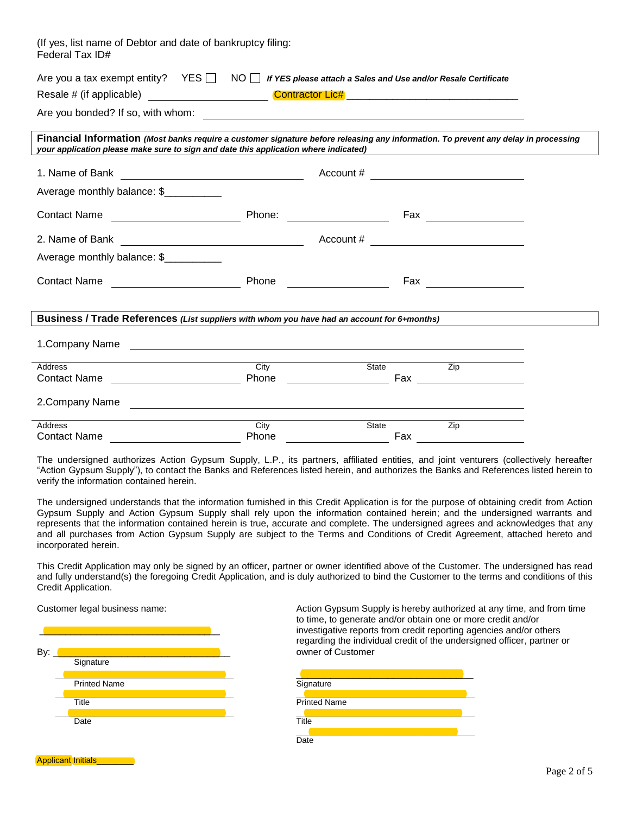| (If yes, list name of Debtor and date of bankruptcy filing:<br>Federal Tax ID#                                                                                                                                              |       |              |     |                           |  |
|-----------------------------------------------------------------------------------------------------------------------------------------------------------------------------------------------------------------------------|-------|--------------|-----|---------------------------|--|
| Are you a tax exempt entity? $YES \Box \ NO \Box$ If YES please attach a Sales and Use and/or Resale Certificate                                                                                                            |       |              |     |                           |  |
|                                                                                                                                                                                                                             |       |              |     |                           |  |
|                                                                                                                                                                                                                             |       |              |     |                           |  |
| Financial Information (Most banks require a customer signature before releasing any information. To prevent any delay in processing<br>your application please make sure to sign and date this application where indicated) |       |              |     |                           |  |
| 1. Name of Bank<br><u> Alexandria de la contrada de la contrada de la contrada de la contrada de la contrada de la contrada de la c</u>                                                                                     |       |              |     | Account # $\qquad \qquad$ |  |
| Average monthly balance: \$                                                                                                                                                                                                 |       |              |     |                           |  |
|                                                                                                                                                                                                                             |       |              |     |                           |  |
|                                                                                                                                                                                                                             |       |              |     |                           |  |
| Average monthly balance: \$                                                                                                                                                                                                 |       |              |     |                           |  |
|                                                                                                                                                                                                                             |       |              |     | Fax ____________________  |  |
| Business / Trade References (List suppliers with whom you have had an account for 6+months)                                                                                                                                 |       |              |     |                           |  |
| 1. Company Name                                                                                                                                                                                                             |       |              |     |                           |  |
| Address                                                                                                                                                                                                                     | City  | State        |     | $\overline{Zip}$          |  |
|                                                                                                                                                                                                                             |       |              |     |                           |  |
| 2. Company Name<br><u> Alexandria de la contrada de la contrada de la contrada de la contrada de la contrada de la contrada de la c</u>                                                                                     |       |              |     |                           |  |
| <b>Address</b>                                                                                                                                                                                                              | City  | <b>State</b> |     | Zip                       |  |
| <b>Contact Name</b>                                                                                                                                                                                                         | Phone |              | Fax |                           |  |

The undersigned authorizes Action Gypsum Supply, L.P., its partners, affiliated entities, and joint venturers (collectively hereafter "Action Gypsum Supply"), to contact the Banks and References listed herein, and authorizes the Banks and References listed herein to verify the information contained herein.

The undersigned understands that the information furnished in this Credit Application is for the purpose of obtaining credit from Action Gypsum Supply and Action Gypsum Supply shall rely upon the information contained herein; and the undersigned warrants and represents that the information contained herein is true, accurate and complete. The undersigned agrees and acknowledges that any and all purchases from Action Gypsum Supply are subject to the Terms and Conditions of Credit Agreement, attached hereto and incorporated herein.

This Credit Application may only be signed by an officer, partner or owner identified above of the Customer. The undersigned has read and fully understand(s) the foregoing Credit Application, and is duly authorized to bind the Customer to the terms and conditions of this Credit Application.

| Customer legal business name:<br>By: |                     | Action Gypsum Supply is hereby authorized<br>to time, to generate and/or obtain one or mo<br>investigative reports from credit reporting ac<br>regarding the individual credit of the undersi<br>owner of Customer |
|--------------------------------------|---------------------|--------------------------------------------------------------------------------------------------------------------------------------------------------------------------------------------------------------------|
|                                      | Signature           |                                                                                                                                                                                                                    |
|                                      | <b>Printed Name</b> | Signature                                                                                                                                                                                                          |
|                                      | Title               | <b>Printed Name</b>                                                                                                                                                                                                |
|                                      | Date                | Title                                                                                                                                                                                                              |
|                                      |                     | Date                                                                                                                                                                                                               |

Action Gypsum Supply is hereby authorized at any time, and from time to time, to generate and/or obtain one or more credit and/or investigative reports from credit reporting agencies and/or others regarding the individual credit of the undersigned officer, partner or owner of Customer

| <b>Printed Name</b> |       | Signature           |
|---------------------|-------|---------------------|
|                     |       |                     |
| Title               |       | <b>Printed Name</b> |
|                     |       |                     |
| Date                | Title |                     |
|                     |       |                     |
|                     | Date  |                     |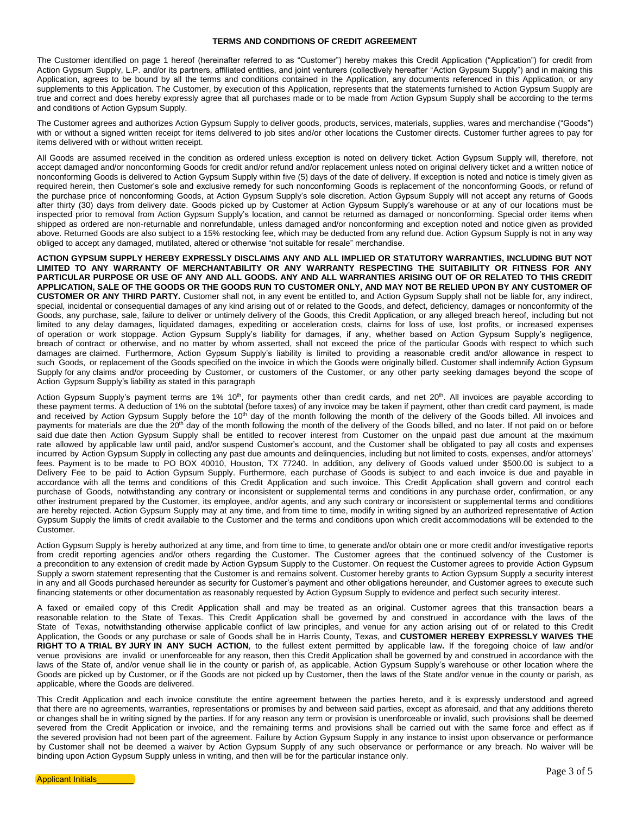## **TERMS AND CONDITIONS OF CREDIT AGREEMENT**

The Customer identified on page 1 hereof (hereinafter referred to as "Customer") hereby makes this Credit Application ("Application") for credit from Action Gypsum Supply, L.P. and/or its partners, affiliated entities, and joint venturers (collectively hereafter "Action Gypsum Supply") and in making this Application, agrees to be bound by all the terms and conditions contained in the Application, any documents referenced in this Application, or any supplements to this Application. The Customer, by execution of this Application, represents that the statements furnished to Action Gypsum Supply are true and correct and does hereby expressly agree that all purchases made or to be made from Action Gypsum Supply shall be according to the terms and conditions of Action Gypsum Supply.

The Customer agrees and authorizes Action Gypsum Supply to deliver goods, products, services, materials, supplies, wares and merchandise ("Goods") with or without a signed written receipt for items delivered to job sites and/or other locations the Customer directs. Customer further agrees to pay for items delivered with or without written receipt.

All Goods are assumed received in the condition as ordered unless exception is noted on delivery ticket. Action Gypsum Supply will, therefore, not accept damaged and/or nonconforming Goods for credit and/or refund and/or replacement unless noted on original delivery ticket and a written notice of nonconforming Goods is delivered to Action Gypsum Supply within five (5) days of the date of delivery. If exception is noted and notice is timely given as required herein, then Customer's sole and exclusive remedy for such nonconforming Goods is replacement of the nonconforming Goods, or refund of the purchase price of nonconforming Goods, at Action Gypsum Supply's sole discretion. Action Gypsum Supply will not accept any returns of Goods after thirty (30) days from delivery date. Goods picked up by Customer at Action Gypsum Supply's warehouse or at any of our locations must be inspected prior to removal from Action Gypsum Supply's location, and cannot be returned as damaged or nonconforming. Special order items when shipped as ordered are non-returnable and nonrefundable, unless damaged and/or nonconforming and exception noted and notice given as provided above. Returned Goods are also subject to a 15% restocking fee, which may be deducted from any refund due. Action Gypsum Supply is not in any way obliged to accept any damaged, mutilated, altered or otherwise "not suitable for resale" merchandise.

**ACTION GYPSUM SUPPLY HEREBY EXPRESSLY DISCLAIMS ANY AND ALL IMPLIED OR STATUTORY WARRANTIES, INCLUDING BUT NOT LIMITED TO ANY WARRANTY OF MERCHANTABILITY OR ANY WARRANTY RESPECTING THE SUITABILITY OR FITNESS FOR ANY PARTICULAR PURPOSE OR USE OF ANY AND ALL GOODS. ANY AND ALL WARRANTIES ARISING OUT OF OR RELATED TO THIS CREDIT APPLICATION, SALE OF THE GOODS OR THE GOODS RUN TO CUSTOMER ONLY, AND MAY NOT BE RELIED UPON BY ANY CUSTOMER OF CUSTOMER OR ANY THIRD PARTY.** Customer shall not, in any event be entitled to, and Action Gypsum Supply shall not be liable for, any indirect, special, incidental or consequential damages of any kind arising out of or related to the Goods, and defect, deficiency, damages or nonconformity of the Goods, any purchase, sale, failure to deliver or untimely delivery of the Goods, this Credit Application, or any alleged breach hereof, including but not limited to any delay damages, liquidated damages, expediting or acceleration costs, claims for loss of use, lost profits, or increased expenses of operation or work stoppage. Action Gypsum Supply's liability for damages, if any, whether based on Action Gypsum Supply's negligence, breach of contract or otherwise, and no matter by whom asserted, shall not exceed the price of the particular Goods with respect to which such damages are claimed. Furthermore, Action Gypsum Supply's liability is limited to providing a reasonable credit and/or allowance in respect to such Goods, or replacement of the Goods specified on the invoice in which the Goods were originally billed. Customer shall indemnify Action Gypsum Supply for any claims and/or proceeding by Customer, or customers of the Customer, or any other party seeking damages beyond the scope of Action Gypsum Supply's liability as stated in this paragraph

Action Gypsum Supply's payment terms are 1% 10<sup>th</sup>, for payments other than credit cards, and net 20<sup>th</sup>. All invoices are payable according to these payment terms. A deduction of 1% on the subtotal (before taxes) of any invoice may be taken if payment, other than credit card payment, is made and received by Action Gypsum Supply before the 10<sup>th</sup> day of the month following the month of the delivery of the Goods billed. All invoices and payments for materials are due the 20<sup>th</sup> day of the month following the month of the delivery of the Goods billed, and no later. If not paid on or before said due date then Action Gypsum Supply shall be entitled to recover interest from Customer on the unpaid past due amount at the maximum rate allowed by applicable law until paid, and/or suspend Customer's account, and the Customer shall be obligated to pay all costs and expenses incurred by Action Gypsum Supply in collecting any past due amounts and delinquencies, including but not limited to costs, expenses, and/or attorneys' fees. Payment is to be made to PO BOX 40010, Houston, TX 77240. In addition, any delivery of Goods valued under \$500.00 is subject to a Delivery Fee to be paid to Action Gypsum Supply. Furthermore, each purchase of Goods is subject to and each invoice is due and payable in accordance with all the terms and conditions of this Credit Application and such invoice. This Credit Application shall govern and control each purchase of Goods, notwithstanding any contrary or inconsistent or supplemental terms and conditions in any purchase order, confirmation, or any other instrument prepared by the Customer, its employee, and/or agents, and any such contrary or inconsistent or supplemental terms and conditions are hereby rejected. Action Gypsum Supply may at any time, and from time to time, modify in writing signed by an authorized representative of Action Gypsum Supply the limits of credit available to the Customer and the terms and conditions upon which credit accommodations will be extended to the Customer.

Action Gypsum Supply is hereby authorized at any time, and from time to time, to generate and/or obtain one or more credit and/or investigative reports from credit reporting agencies and/or others regarding the Customer. The Customer agrees that the continued solvency of the Customer is a precondition to any extension of credit made by Action Gypsum Supply to the Customer. On request the Customer agrees to provide Action Gypsum Supply a sworn statement representing that the Customer is and remains solvent. Customer hereby grants to Action Gypsum Supply a security interest in any and all Goods purchased hereunder as security for Customer's payment and other obligations hereunder, and Customer agrees to execute such financing statements or other documentation as reasonably requested by Action Gypsum Supply to evidence and perfect such security interest.

A faxed or emailed copy of this Credit Application shall and may be treated as an original. Customer agrees that this transaction bears a reasonable relation to the State of Texas. This Credit Application shall be governed by and construed in accordance with the laws of the State of Texas, notwithstanding otherwise applicable conflict of law principles, and venue for any action arising out of or related to this Credit Application, the Goods or any purchase or sale of Goods shall be in Harris County, Texas, and **CUSTOMER HEREBY EXPRESSLY WAIVES THE RIGHT TO A TRIAL BY JURY IN ANY SUCH ACTION**, to the fullest extent permitted by applicable law**.** If the foregoing choice of law and/or venue provisions are invalid or unenforceable for any reason, then this Credit Application shall be governed by and construed in accordance with the laws of the State of, and/or venue shall lie in the county or parish of, as applicable, Action Gypsum Supply's warehouse or other location where the Goods are picked up by Customer, or if the Goods are not picked up by Customer, then the laws of the State and/or venue in the county or parish, as applicable, where the Goods are delivered.

This Credit Application and each invoice constitute the entire agreement between the parties hereto, and it is expressly understood and agreed that there are no agreements, warranties, representations or promises by and between said parties, except as aforesaid, and that any additions thereto or changes shall be in writing signed by the parties. If for any reason any term or provision is unenforceable or invalid, such provisions shall be deemed severed from the Credit Application or invoice, and the remaining terms and provisions shall be carried out with the same force and effect as if the severed provision had not been part of the agreement. Failure by Action Gypsum Supply in any instance to insist upon observance or performance by Customer shall not be deemed a waiver by Action Gypsum Supply of any such observance or performance or any breach. No waiver will be binding upon Action Gypsum Supply unless in writing, and then will be for the particular instance only.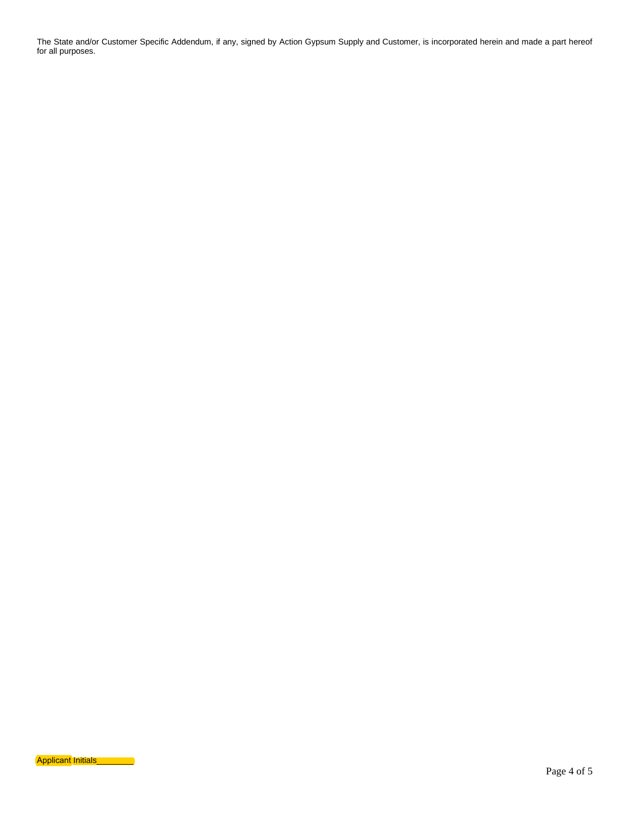The State and/or Customer Specific Addendum, if any, signed by Action Gypsum Supply and Customer, is incorporated herein and made a part hereof for all purposes.